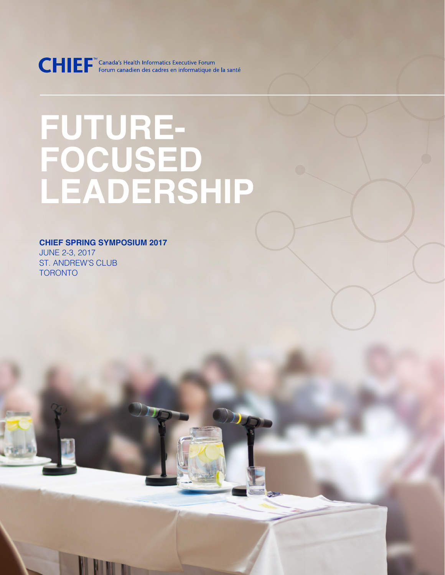CHIEF<sup>"</sup> Canada's Health Informatics Executive Forum<br>Forum canadien des cadres en informatique de la santé

# **FUTURE-FOCUSED LEADERSHIP**

**CHIEF SPRING SYMPOSIUM 2017** JUNE 2-3, 2017 ST. ANDREW'S CLUB TORONTO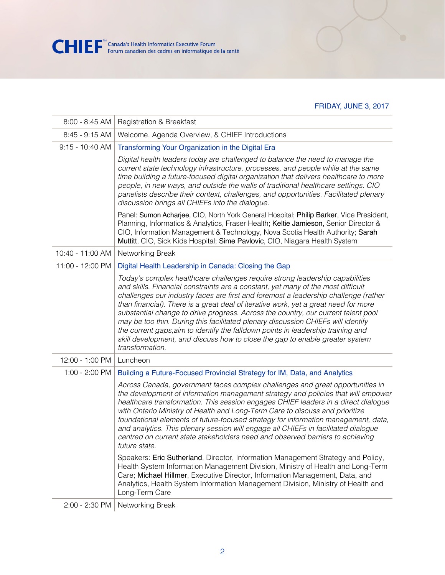

#### FRIDAY, JUNE 3, 2017

| $8:00 - 8:45$ AM  | <b>Registration &amp; Breakfast</b>                                                                                                                                                                                                                                                                                                                                                                                                                                                                                                                                                                                                                                                                            |  |
|-------------------|----------------------------------------------------------------------------------------------------------------------------------------------------------------------------------------------------------------------------------------------------------------------------------------------------------------------------------------------------------------------------------------------------------------------------------------------------------------------------------------------------------------------------------------------------------------------------------------------------------------------------------------------------------------------------------------------------------------|--|
| $8:45 - 9:15$ AM  | Welcome, Agenda Overview, & CHIEF Introductions                                                                                                                                                                                                                                                                                                                                                                                                                                                                                                                                                                                                                                                                |  |
| $9:15 - 10:40$ AM | Transforming Your Organization in the Digital Era                                                                                                                                                                                                                                                                                                                                                                                                                                                                                                                                                                                                                                                              |  |
|                   | Digital health leaders today are challenged to balance the need to manage the<br>current state technology infrastructure, processes, and people while at the same<br>time building a future-focused digital organization that delivers healthcare to more<br>people, in new ways, and outside the walls of traditional healthcare settings. CIO<br>panelists describe their context, challenges, and opportunities. Facilitated plenary<br>discussion brings all CHIEFs into the dialogue.                                                                                                                                                                                                                     |  |
|                   | Panel: Sumon Acharjee, CIO, North York General Hospital; Philip Barker, Vice President,<br>Planning, Informatics & Analytics, Fraser Health; Keltie Jamieson, Senior Director &<br>CIO, Information Management & Technology, Nova Scotia Health Authority; Sarah<br>Muttitt, CIO, Sick Kids Hospital; Sime Pavlovic, CIO, Niagara Health System                                                                                                                                                                                                                                                                                                                                                                |  |
| 10:40 - 11:00 AM  | Networking Break                                                                                                                                                                                                                                                                                                                                                                                                                                                                                                                                                                                                                                                                                               |  |
| 11:00 - 12:00 PM  | Digital Health Leadership in Canada: Closing the Gap                                                                                                                                                                                                                                                                                                                                                                                                                                                                                                                                                                                                                                                           |  |
|                   | Today's complex healthcare challenges require strong leadership capabilities<br>and skills. Financial constraints are a constant, yet many of the most difficult<br>challenges our industry faces are first and foremost a leadership challenge (rather<br>than financial). There is a great deal of iterative work, yet a great need for more<br>substantial change to drive progress. Across the country, our current talent pool<br>may be too thin. During this facilitated plenary discussion CHIEFs will identify<br>the current gaps, aim to identify the falldown points in leadership training and<br>skill development, and discuss how to close the gap to enable greater system<br>transformation. |  |
| 12:00 - 1:00 PM   | Luncheon                                                                                                                                                                                                                                                                                                                                                                                                                                                                                                                                                                                                                                                                                                       |  |
| $1:00 - 2:00$ PM  | Building a Future-Focused Provincial Strategy for IM, Data, and Analytics                                                                                                                                                                                                                                                                                                                                                                                                                                                                                                                                                                                                                                      |  |
|                   | Across Canada, government faces complex challenges and great opportunities in<br>the development of information management strategy and policies that will empower<br>healthcare transformation. This session engages CHIEF leaders in a direct dialogue<br>with Ontario Ministry of Health and Long-Term Care to discuss and prioritize<br>foundational elements of future-focused strategy for information management, data,<br>and analytics. This plenary session will engage all CHIEFs in facilitated dialogue<br>centred on current state stakeholders need and observed barriers to achieving<br>future state.                                                                                         |  |
|                   | Speakers: Eric Sutherland, Director, Information Management Strategy and Policy,<br>Health System Information Management Division, Ministry of Health and Long-Term<br>Care; Michael Hillmer, Executive Director, Information Management, Data, and<br>Analytics, Health System Information Management Division, Ministry of Health and<br>Long-Term Care                                                                                                                                                                                                                                                                                                                                                      |  |
| 2:00 - 2:30 PM    | Networking Break                                                                                                                                                                                                                                                                                                                                                                                                                                                                                                                                                                                                                                                                                               |  |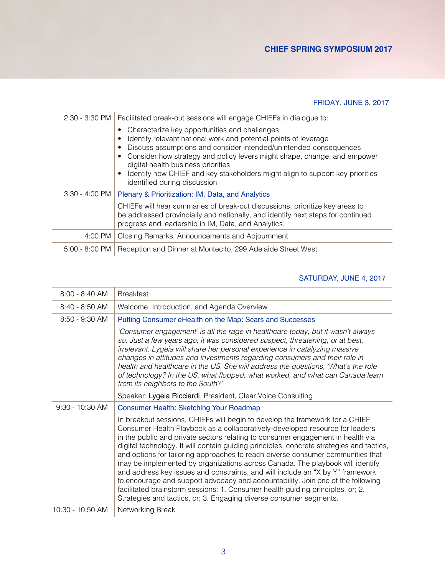## FRIDAY, JUNE 3, 2017

|         | 2:30 - 3:30 PM   Facilitated break-out sessions will engage CHIEFs in dialogue to:<br>Characterize key opportunities and challenges                                                                                    |
|---------|------------------------------------------------------------------------------------------------------------------------------------------------------------------------------------------------------------------------|
|         | Identify relevant national work and potential points of leverage<br>Discuss assumptions and consider intended/unintended consequences                                                                                  |
|         | Consider how strategy and policy levers might shape, change, and empower<br>digital health business priorities                                                                                                         |
|         | Identify how CHIEF and key stakeholders might align to support key priorities<br>identified during discussion                                                                                                          |
|         | 3:30 - 4:00 PM   Plenary & Prioritization: IM, Data, and Analytics                                                                                                                                                     |
|         | CHIEFs will hear summaries of break-out discussions, prioritize key areas to<br>be addressed provincially and nationally, and identify next steps for continued<br>progress and leadership in IM, Data, and Analytics. |
| 4:00 PM | Closing Remarks, Announcements and Adjournment                                                                                                                                                                         |
|         | 5:00 - 8:00 PM   Reception and Dinner at Montecito, 299 Adelaide Street West                                                                                                                                           |

## SATURDAY, JUNE 4, 2017

| $8:00 - 8:40$ AM  | <b>Breakfast</b>                                                                                                                                                                                                                                                                                                                                                                                                                                                                                                                                                                                                                                                                                                                                                                                                                             |  |
|-------------------|----------------------------------------------------------------------------------------------------------------------------------------------------------------------------------------------------------------------------------------------------------------------------------------------------------------------------------------------------------------------------------------------------------------------------------------------------------------------------------------------------------------------------------------------------------------------------------------------------------------------------------------------------------------------------------------------------------------------------------------------------------------------------------------------------------------------------------------------|--|
| $8:40 - 8:50$ AM  | Welcome, Introduction, and Agenda Overview                                                                                                                                                                                                                                                                                                                                                                                                                                                                                                                                                                                                                                                                                                                                                                                                   |  |
| $8:50 - 9:30$ AM  | Putting Consumer eHealth on the Map: Scars and Successes                                                                                                                                                                                                                                                                                                                                                                                                                                                                                                                                                                                                                                                                                                                                                                                     |  |
|                   | 'Consumer engagement' is all the rage in healthcare today, but it wasn't always<br>so. Just a few years ago, it was considered suspect, threatening, or at best,<br>irrelevant. Lygeia will share her personal experience in catalyzing massive<br>changes in attitudes and investments regarding consumers and their role in<br>health and healthcare in the US. She will address the questions, 'What's the role<br>of technology? In the US, what flopped, what worked, and what can Canada learn<br>from its neighbors to the South?'                                                                                                                                                                                                                                                                                                    |  |
|                   | Speaker: Lygeia Ricciardi, President, Clear Voice Consulting                                                                                                                                                                                                                                                                                                                                                                                                                                                                                                                                                                                                                                                                                                                                                                                 |  |
|                   |                                                                                                                                                                                                                                                                                                                                                                                                                                                                                                                                                                                                                                                                                                                                                                                                                                              |  |
| $9:30 - 10:30$ AM | <b>Consumer Health: Sketching Your Roadmap</b>                                                                                                                                                                                                                                                                                                                                                                                                                                                                                                                                                                                                                                                                                                                                                                                               |  |
|                   | In breakout sessions, CHIEFs will begin to develop the framework for a CHIEF<br>Consumer Health Playbook as a collaboratively-developed resource for leaders<br>in the public and private sectors relating to consumer engagement in health via<br>digital technology. It will contain guiding principles, concrete strategies and tactics,<br>and options for tailoring approaches to reach diverse consumer communities that<br>may be implemented by organizations across Canada. The playbook will identify<br>and address key issues and constraints, and will include an "X by Y" framework<br>to encourage and support advocacy and accountability. Join one of the following<br>facilitated brainstorm sessions: 1. Consumer health guiding principles, or; 2.<br>Strategies and tactics, or; 3. Engaging diverse consumer segments. |  |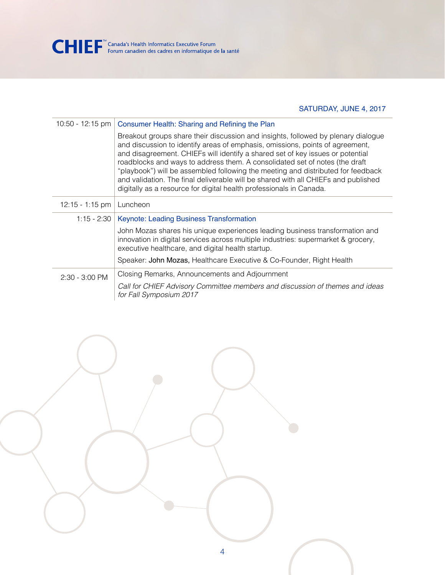

SATURDAY, JUNE 4, 2017

|                  | 10:50 - 12:15 pm   Consumer Health: Sharing and Refining the Plan                                                                                                                                                                                                                                                                                                                                                                                                                                                                                                                    |  |  |
|------------------|--------------------------------------------------------------------------------------------------------------------------------------------------------------------------------------------------------------------------------------------------------------------------------------------------------------------------------------------------------------------------------------------------------------------------------------------------------------------------------------------------------------------------------------------------------------------------------------|--|--|
|                  | Breakout groups share their discussion and insights, followed by plenary dialogue<br>and discussion to identify areas of emphasis, omissions, points of agreement,<br>and disagreement. CHIEFs will identify a shared set of key issues or potential<br>roadblocks and ways to address them. A consolidated set of notes (the draft<br>"playbook") will be assembled following the meeting and distributed for feedback<br>and validation. The final deliverable will be shared with all CHIEFs and published<br>digitally as a resource for digital health professionals in Canada. |  |  |
| 12:15 - 1:15 pm  | Luncheon                                                                                                                                                                                                                                                                                                                                                                                                                                                                                                                                                                             |  |  |
|                  | 1:15 - 2:30   Keynote: Leading Business Transformation                                                                                                                                                                                                                                                                                                                                                                                                                                                                                                                               |  |  |
|                  | John Mozas shares his unique experiences leading business transformation and<br>innovation in digital services across multiple industries: supermarket & grocery,<br>executive healthcare, and digital health startup.                                                                                                                                                                                                                                                                                                                                                               |  |  |
|                  | Speaker: John Mozas, Healthcare Executive & Co-Founder, Right Health                                                                                                                                                                                                                                                                                                                                                                                                                                                                                                                 |  |  |
| $2:30 - 3:00$ PM | Closing Remarks, Announcements and Adjournment                                                                                                                                                                                                                                                                                                                                                                                                                                                                                                                                       |  |  |
|                  | Call for CHIEF Advisory Committee members and discussion of themes and ideas<br>for Fall Symposium 2017                                                                                                                                                                                                                                                                                                                                                                                                                                                                              |  |  |

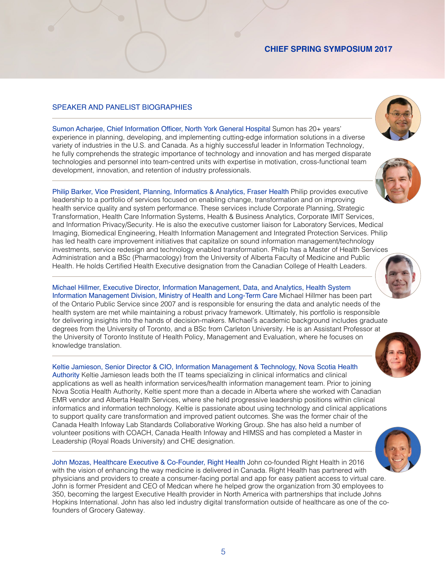### **CHIEF SPRING SYMPOSIUM 2017**

#### SPEAKER AND PANELIST BIOGRAPHIES

Sumon Acharjee, Chief Information Officer, North York General Hospital Sumon has 20+ years' experience in planning, developing, and implementing cutting-edge information solutions in a diverse variety of industries in the U.S. and Canada. As a highly successful leader in Information Technology, he fully comprehends the strategic importance of technology and innovation and has merged disparate technologies and personnel into team-centred units with expertise in motivation, cross-functional team development, innovation, and retention of industry professionals.

Philip Barker, Vice President, Planning, Informatics & Analytics, Fraser Health Philip provides executive leadership to a portfolio of services focused on enabling change, transformation and on improving health service quality and system performance. These services include Corporate Planning, Strategic Transformation, Health Care Information Systems, Health & Business Analytics, Corporate IMIT Services, and Information Privacy/Security. He is also the executive customer liaison for Laboratory Services, Medical Imaging, Biomedical Engineering, Health Information Management and Integrated Protection Services. Philip has led health care improvement initiatives that capitalize on sound information management/technology investments, service redesign and technology enabled transformation. Philip has a Master of Health Services Administration and a BSc (Pharmacology) from the University of Alberta Faculty of Medicine and Public Health. He holds Certified Health Executive designation from the Canadian College of Health Leaders.

Michael Hillmer, Executive Director, Information Management, Data, and Analytics, Health System Information Management Division, Ministry of Health and Long-Term Care Michael Hillmer has been part of the Ontario Public Service since 2007 and is responsible for ensuring the data and analytic needs of the health system are met while maintaining a robust privacy framework. Ultimately, his portfolio is responsible for delivering insights into the hands of decision-makers. Michael's academic background includes graduate degrees from the University of Toronto, and a BSc from Carleton University. He is an Assistant Professor at the University of Toronto Institute of Health Policy, Management and Evaluation, where he focuses on knowledge translation.



Keltie Jamieson, Senior Director & CIO, Information Management & Technology, Nova Scotia Health Authority Keltie Jamieson leads both the IT teams specializing in clinical informatics and clinical applications as well as health information services/health information management team. Prior to joining Nova Scotia Health Authority, Keltie spent more than a decade in Alberta where she worked with Canadian EMR vendor and Alberta Health Services, where she held progressive leadership positions within clinical informatics and information technology. Keltie is passionate about using technology and clinical applications to support quality care transformation and improved patient outcomes. She was the former chair of the Canada Health Infoway Lab Standards Collaborative Working Group. She has also held a number of volunteer positions with COACH, Canada Health Infoway and HIMSS and has completed a Master in Leadership (Royal Roads University) and CHE designation.

John Mozas, Healthcare Executive & Co-Founder, Right Health John co-founded Right Health in 2016 with the vision of enhancing the way medicine is delivered in Canada. Right Health has partnered with physicians and providers to create a consumer-facing portal and app for easy patient access to virtual care. John is former President and CEO of Medcan where he helped grow the organization from 30 employees to 350, becoming the largest Executive Health provider in North America with partnerships that include Johns Hopkins International. John has also led industry digital transformation outside of healthcare as one of the cofounders of Grocery Gateway.



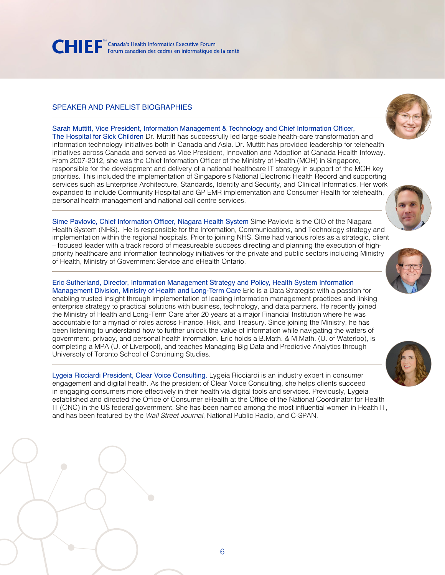

#### SPEAKER AND PANELIST BIOGRAPHIES



Sarah Muttitt, Vice President, Information Management & Technology and Chief Information Officer, The Hospital for Sick Children Dr. Muttitt has successfully led large-scale health-care transformation and information technology initiatives both in Canada and Asia. Dr. Muttitt has provided leadership for telehealth initiatives across Canada and served as Vice President, Innovation and Adoption at Canada Health Infoway. From 2007-2012, she was the Chief Information Officer of the Ministry of Health (MOH) in Singapore, responsible for the development and delivery of a national healthcare IT strategy in support of the MOH key priorities. This included the implementation of Singapore's National Electronic Health Record and supporting services such as Enterprise Architecture, Standards, Identity and Security, and Clinical Informatics. Her work expanded to include Community Hospital and GP EMR implementation and Consumer Health for telehealth, personal health management and national call centre services.

Sime Pavlovic, Chief Information Officer, Niagara Health System Sime Pavlovic is the CIO of the Niagara Health System (NHS). He is responsible for the Information, Communications, and Technology strategy and implementation within the regional hospitals. Prior to joining NHS, Sime had various roles as a strategic, client – focused leader with a track record of measureable success directing and planning the execution of highpriority healthcare and information technology initiatives for the private and public sectors including Ministry of Health, Ministry of Government Service and eHealth Ontario.

Eric Sutherland, Director, Information Management Strategy and Policy, Health System Information Management Division, Ministry of Health and Long-Term Care Eric is a Data Strategist with a passion for enabling trusted insight through implementation of leading information management practices and linking enterprise strategy to practical solutions with business, technology, and data partners. He recently joined the Ministry of Health and Long-Term Care after 20 years at a major Financial Institution where he was accountable for a myriad of roles across Finance, Risk, and Treasury. Since joining the Ministry, he has been listening to understand how to further unlock the value of information while navigating the waters of government, privacy, and personal health information. Eric holds a B.Math. & M.Math. (U. of Waterloo), is completing a MPA (U. of Liverpool), and teaches Managing Big Data and Predictive Analytics through Universoty of Toronto School of Continuing Studies.

Lygeia Ricciardi President, Clear Voice Consulting. Lygeia Ricciardi is an industry expert in consumer engagement and digital health. As the president of Clear Voice Consulting, she helps clients succeed in engaging consumers more effectively in their health via digital tools and services. Previously, Lygeia established and directed the Office of Consumer eHealth at the Office of the National Coordinator for Health IT (ONC) in the US federal government. She has been named among the most influential women in Health IT, and has been featured by the *Wall Street Journal*, National Public Radio, and C-SPAN.



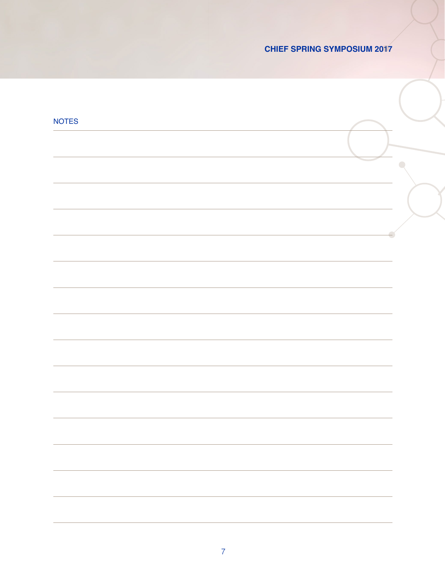## **CHIEF SPRING SYMPOSIUM 2017**

| <b>NOTES</b> |  |
|--------------|--|
|              |  |
|              |  |
|              |  |
|              |  |
|              |  |
|              |  |
|              |  |
|              |  |
|              |  |
|              |  |
|              |  |
|              |  |
|              |  |
|              |  |
|              |  |
|              |  |
|              |  |
|              |  |
|              |  |
|              |  |
|              |  |
|              |  |
|              |  |
|              |  |
|              |  |
|              |  |
|              |  |
|              |  |
|              |  |
|              |  |
|              |  |
|              |  |
|              |  |